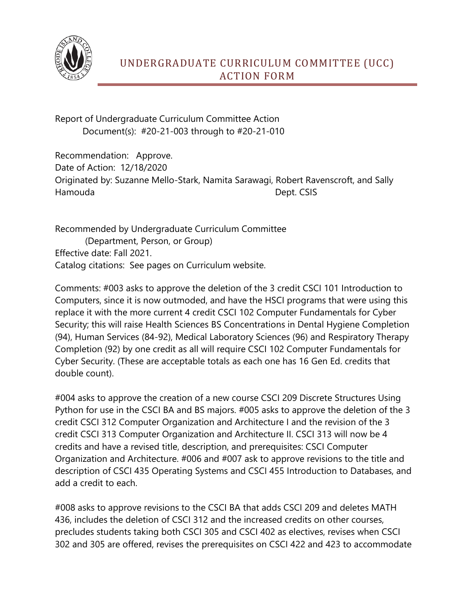

Report of Undergraduate Curriculum Committee Action Document(s): #20-21-003 through to #20-21-010

Recommendation: Approve. Date of Action: 12/18/2020 Originated by: Suzanne Mello-Stark, Namita Sarawagi, Robert Ravenscroft, and Sally Hamouda **Dept. CSIS** 

Recommended by Undergraduate Curriculum Committee (Department, Person, or Group) Effective date: Fall 2021. Catalog citations: See pages on Curriculum website.

Comments: #003 asks to approve the deletion of the 3 credit CSCI 101 Introduction to Computers, since it is now outmoded, and have the HSCI programs that were using this replace it with the more current 4 credit CSCI 102 Computer Fundamentals for Cyber Security; this will raise Health Sciences BS Concentrations in Dental Hygiene Completion (94), Human Services (84-92), Medical Laboratory Sciences (96) and Respiratory Therapy Completion (92) by one credit as all will require CSCI 102 Computer Fundamentals for Cyber Security. (These are acceptable totals as each one has 16 Gen Ed. credits that double count).

#004 asks to approve the creation of a new course CSCI 209 Discrete Structures Using Python for use in the CSCI BA and BS majors. #005 asks to approve the deletion of the 3 credit CSCI 312 Computer Organization and Architecture I and the revision of the 3 credit CSCI 313 Computer Organization and Architecture II. CSCI 313 will now be 4 credits and have a revised title, description, and prerequisites: CSCI Computer Organization and Architecture. #006 and #007 ask to approve revisions to the title and description of CSCI 435 Operating Systems and CSCI 455 Introduction to Databases, and add a credit to each.

#008 asks to approve revisions to the CSCI BA that adds CSCI 209 and deletes MATH 436, includes the deletion of CSCI 312 and the increased credits on other courses, precludes students taking both CSCI 305 and CSCI 402 as electives, revises when CSCI 302 and 305 are offered, revises the prerequisites on CSCI 422 and 423 to accommodate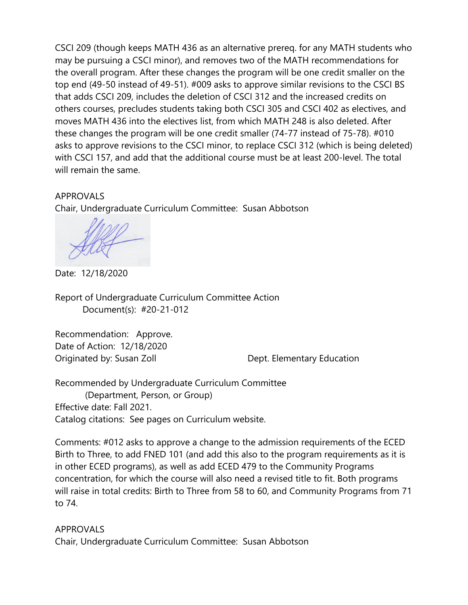CSCI 209 (though keeps MATH 436 as an alternative prereq. for any MATH students who may be pursuing a CSCI minor), and removes two of the MATH recommendations for the overall program. After these changes the program will be one credit smaller on the top end (49-50 instead of 49-51). #009 asks to approve similar revisions to the CSCI BS that adds CSCI 209, includes the deletion of CSCI 312 and the increased credits on others courses, precludes students taking both CSCI 305 and CSCI 402 as electives, and moves MATH 436 into the electives list, from which MATH 248 is also deleted. After these changes the program will be one credit smaller (74-77 instead of 75-78). #010 asks to approve revisions to the CSCI minor, to replace CSCI 312 (which is being deleted) with CSCI 157, and add that the additional course must be at least 200-level. The total will remain the same.

## APPROVALS

Chair, Undergraduate Curriculum Committee: Susan Abbotson

Date: 12/18/2020

Report of Undergraduate Curriculum Committee Action Document(s): #20-21-012

Recommendation: Approve. Date of Action: 12/18/2020 Originated by: Susan Zoll **Dept. Elementary Education** 

Recommended by Undergraduate Curriculum Committee (Department, Person, or Group) Effective date: Fall 2021. Catalog citations: See pages on Curriculum website.

Comments: #012 asks to approve a change to the admission requirements of the ECED Birth to Three, to add FNED 101 (and add this also to the program requirements as it is in other ECED programs), as well as add ECED 479 to the Community Programs concentration, for which the course will also need a revised title to fit. Both programs will raise in total credits: Birth to Three from 58 to 60, and Community Programs from 71 to 74.

APPROVALS Chair, Undergraduate Curriculum Committee: Susan Abbotson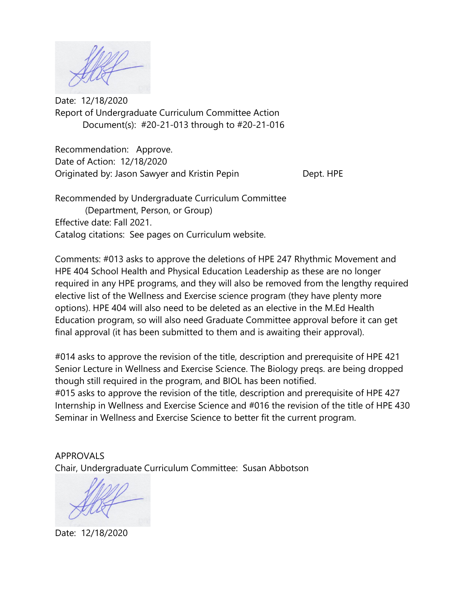Date: 12/18/2020 Report of Undergraduate Curriculum Committee Action Document(s): #20-21-013 through to #20-21-016

Recommendation: Approve. Date of Action: 12/18/2020 Originated by: Jason Sawyer and Kristin Pepin Dept. HPE

Recommended by Undergraduate Curriculum Committee (Department, Person, or Group) Effective date: Fall 2021. Catalog citations: See pages on Curriculum website.

Comments: #013 asks to approve the deletions of HPE 247 Rhythmic Movement and HPE 404 School Health and Physical Education Leadership as these are no longer required in any HPE programs, and they will also be removed from the lengthy required elective list of the Wellness and Exercise science program (they have plenty more options). HPE 404 will also need to be deleted as an elective in the M.Ed Health Education program, so will also need Graduate Committee approval before it can get final approval (it has been submitted to them and is awaiting their approval).

#014 asks to approve the revision of the title, description and prerequisite of HPE 421 Senior Lecture in Wellness and Exercise Science. The Biology preqs. are being dropped though still required in the program, and BIOL has been notified. #015 asks to approve the revision of the title, description and prerequisite of HPE 427 Internship in Wellness and Exercise Science and #016 the revision of the title of HPE 430 Seminar in Wellness and Exercise Science to better fit the current program.

APPROVALS Chair, Undergraduate Curriculum Committee: Susan Abbotson

Date: 12/18/2020